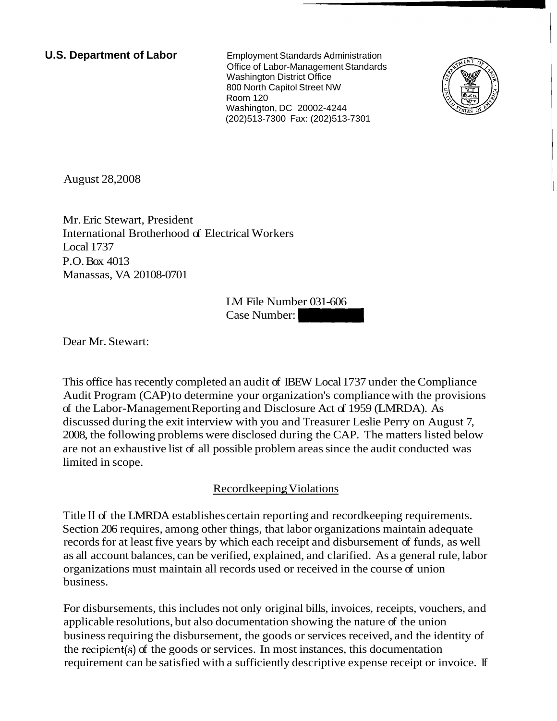**U.S. Department of Labor Employment Standards Administration** Office of Labor-Management Standards Washington District Office 800 North Capitol Street NW Room 120 Washington, DC 20002-4244 (202)513-7300 Fax: (202)513-7301



August 28,2008

Mr. Eric Stewart, President International Brotherhood of Electrical Workers Local 1737 P.O. Box 4013 Manassas, VA 20108-0701 trical Workers<br>LM File Number 031-606<br>Case Number:

LM File Number 031-606

Dear Mr. Stewart:

This office has recently completed an audit of IBEW Local 1737 under the Compliance Audit Program (CAP) to determine your organization's compliance with the provisions of the Labor-Management Reporting and Disclosure Act of 1959 (LMRDA). As discussed during the exit interview with you and Treasurer Leslie Perry on August 7, 2008, the following problems were disclosed during the CAP. The matters listed below are not an exhaustive list of all possible problem areas since the audit conducted was limited in scope.

# Recordkeeping Violations

Title I1 of the LMRDA establishes certain reporting and recordkeeping requirements. Section 206 requires, among other things, that labor organizations maintain adequate records for at least five years by which each receipt and disbursement of funds, as well as all account balances, can be verified, explained, and clarified. As a general rule, labor organizations must maintain all records used or received in the course of union business.

For disbursements, this includes not only original bills, invoices, receipts, vouchers, and applicable resolutions, but also documentation showing the nature of the union business requiring the disbursement, the goods or services received, and the identity of the recipient(s) of the goods or services. In most instances, this documentation requirement can be satisfied with a sufficiently descriptive expense receipt or invoice. If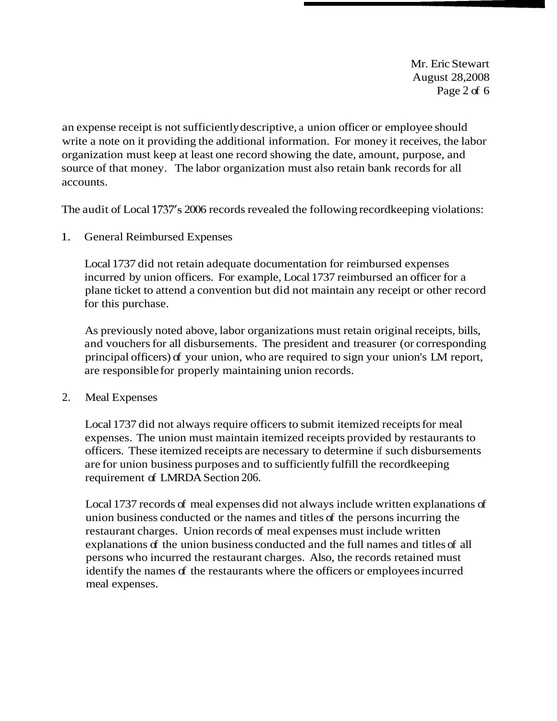Mr. Eric Stewart August 28,2008 Page 2 of 6

an expense receipt is not sufficiently descriptive, a union officer or employee should write a note on it providing the additional information. For money it receives, the labor organization must keep at least one record showing the date, amount, purpose, and source of that money. The labor organization must also retain bank records for all accounts.

The audit of Local 1737's 2006 records revealed the following recordkeeping violations:

1. General Reimbursed Expenses

Local 1737 did not retain adequate documentation for reimbursed expenses incurred by union officers. For example, Local 1737 reimbursed an officer for a plane ticket to attend a convention but did not maintain any receipt or other record for this purchase.

As previously noted above, labor organizations must retain original receipts, bills, and vouchers for all disbursements. The president and treasurer (or corresponding principal officers) of your union, who are required to sign your union's LM report, are responsible for properly maintaining union records.

2. Meal Expenses

Local 1737 did not always require officers to submit itemized receipts for meal expenses. The union must maintain itemized receipts provided by restaurants to officers. These itemized receipts are necessary to determine if such disbursements are for union business purposes and to sufficiently fulfill the recordkeeping requirement of LMRDA Section 206.

Local 1737 records of meal expenses did not always include written explanations of union business conducted or the names and titles of the persons incurring the restaurant charges. Union records of meal expenses must include written explanations of the union business conducted and the full names and titles of all persons who incurred the restaurant charges. Also, the records retained must identify the names of the restaurants where the officers or employees incurred meal expenses.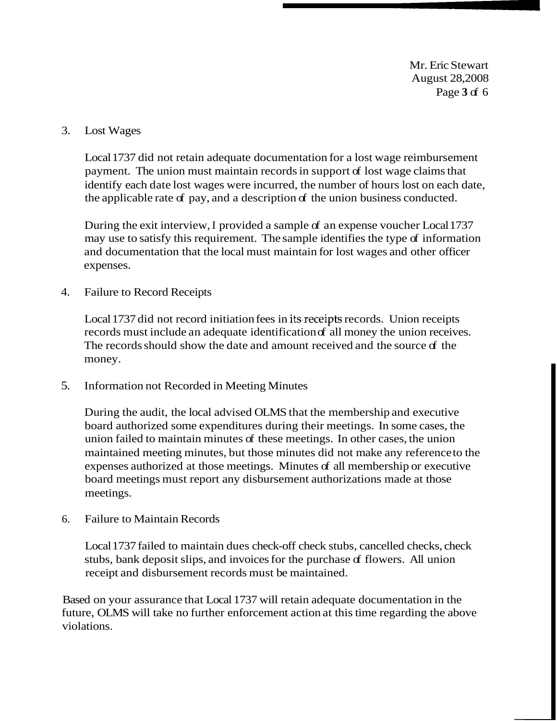Mr. Eric Stewart August 28,2008 Page **3** of 6

#### 3. Lost Wages

Local 1737 did not retain adequate documentation for a lost wage reimbursement payment. The union must maintain records in support of lost wage claims that identify each date lost wages were incurred, the number of hours lost on each date, the applicable rate of pay, and a description of the union business conducted.

During the exit interview, I provided a sample of an expense voucher Local 1737 may use to satisfy this requirement. The sample identifies the type of information and documentation that the local must maintain for lost wages and other officer expenses.

### 4. Failure to Record Receipts

Local 1737 did not record initiation fees in its receipts records. Union receipts records must include an adequate identification of all money the union receives. The records should show the date and amount received and the source of the money.

5. Information not Recorded in Meeting Minutes

During the audit, the local advised OLMS that the membership and executive board authorized some expenditures during their meetings. In some cases, the union failed to maintain minutes of these meetings. In other cases, the union maintained meeting minutes, but those minutes did not make any reference to the expenses authorized at those meetings. Minutes of all membership or executive board meetings must report any disbursement authorizations made at those meetings.

6. Failure to Maintain Records

Local 1737 failed to maintain dues check-off check stubs, cancelled checks, check stubs, bank deposit slips, and invoices for the purchase of flowers. All union receipt and disbursement records must be maintained.

Based on your assurance that Local 1737 will retain adequate documentation in the future, OLMS will take no further enforcement action at this time regarding the above violations.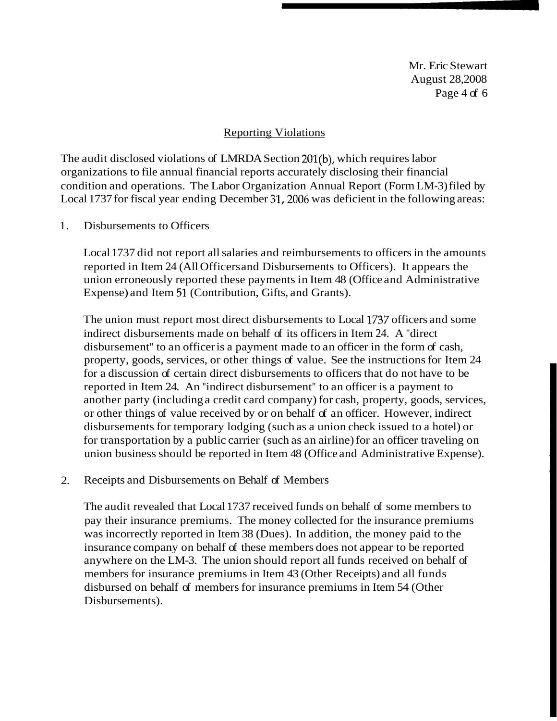Mr. Eric Stewart August 28,2008 Page 4 of 6

#### Reporting Violations

The audit disclosed violations of LMRDA Section 201(b), which requires labor organizations to file annual financial reports accurately disclosing their financial condition and operations. The Labor Organization Annual Report (Form LM-3) filed by Local 1737 for fiscal year ending December 31,2006 was deficient in the following areas:

1. Disbursements to Officers

Local 1737 did not report all salaries and reimbursements to officers in the amounts reported in Item 24 (All Officers and Disbursements to Officers). It appears the union erroneously reported these payments in Item 48 (Office and Administrative Expense) and Item 51 (Contribution, Gifts, and Grants).

The union must report most direct disbursements to Local 1737 officers and some indirect disbursements made on behalf of its officers in Item 24. A "direct disbursement" to an officer is a payment made to an officer in the form of cash, property, goods, services, or other things of value. See the instructions for Item 24 for a discussion of certain direct disbursements to officers that do not have to be reported in Item 24. An "indirect disbursement" to an officer is a payment to another party (including a credit card company) for cash, property, goods, services, or other things of value received by or on behalf of an officer. However, indirect disbursements for temporary lodging (such as a union check issued to a hotel) or for transportation by a public carrier (such as an airline) for an officer traveling on union business should be reported in Item 48 (Office and Administrative Expense).

2. Receipts and Disbursements on Behalf of Members

The audit revealed that Local 1737 received funds on behalf of some members to pay their insurance premiums. The money collected for the insurance premiums was incorrectly reported in Item 38 (Dues). In addition, the money paid to the insurance company on behalf of these members does not appear to be reported anywhere on the LM-3. The union should report all funds received on behalf of members for insurance premiums in Item 43 (Other Receipts) and all funds disbursed on behalf of members for insurance premiums in Item 54 (Other Disbursements).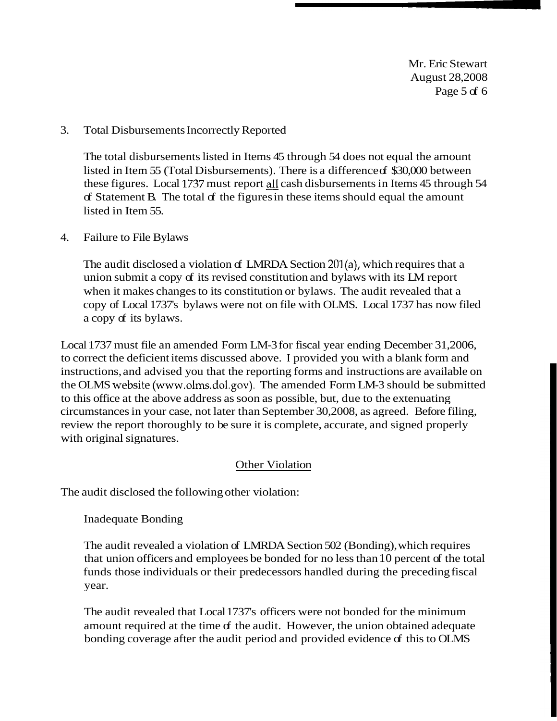Mr. Eric Stewart August 28,2008 Page 5 of 6

### 3. Total Disbursements Incorrectly Reported

The total disbursements listed in Items 45 through 54 does not equal the amount listed in Item 55 (Total Disbursements). There is a difference of \$30,000 between these figures. Local 1737 must report all cash disbursements in Items 45 through 54 of Statement B. The total of the figures in these items should equal the amount listed in Item 55.

### 4. Failure to File Bylaws

The audit disclosed a violation of LMRDA Section 201(a), which requires that a union submit a copy of its revised constitution and bylaws with its LM report when it makes changes to its constitution or bylaws. The audit revealed that a copy of Local 1737's bylaws were not on file with OLMS. Local 1737 has now filed a copy of its bylaws.

Local 1737 must file an amended Form LM-3 for fiscal year ending December 31,2006, to correct the deficient items discussed above. I provided you with a blank form and instructions, and advised you that the reporting forms and instructions are available on the OLMS website (www.olms.dol.gov). The amended Form LM-3 should be submitted to this office at the above address as soon as possible, but, due to the extenuating circumstances in your case, not later than September 30,2008, as agreed. Before filing, review the report thoroughly to be sure it is complete, accurate, and signed properly with original signatures.

## Other Violation

The audit disclosed the following other violation:

## Inadequate Bonding

The audit revealed a violation of LMRDA Section 502 (Bonding), which requires that union officers and employees be bonded for no less than 10 percent of the total funds those individuals or their predecessors handled during the preceding fiscal year.

The audit revealed that Local 1737's officers were not bonded for the minimum amount required at the time of the audit. However, the union obtained adequate bonding coverage after the audit period and provided evidence of this to OLMS